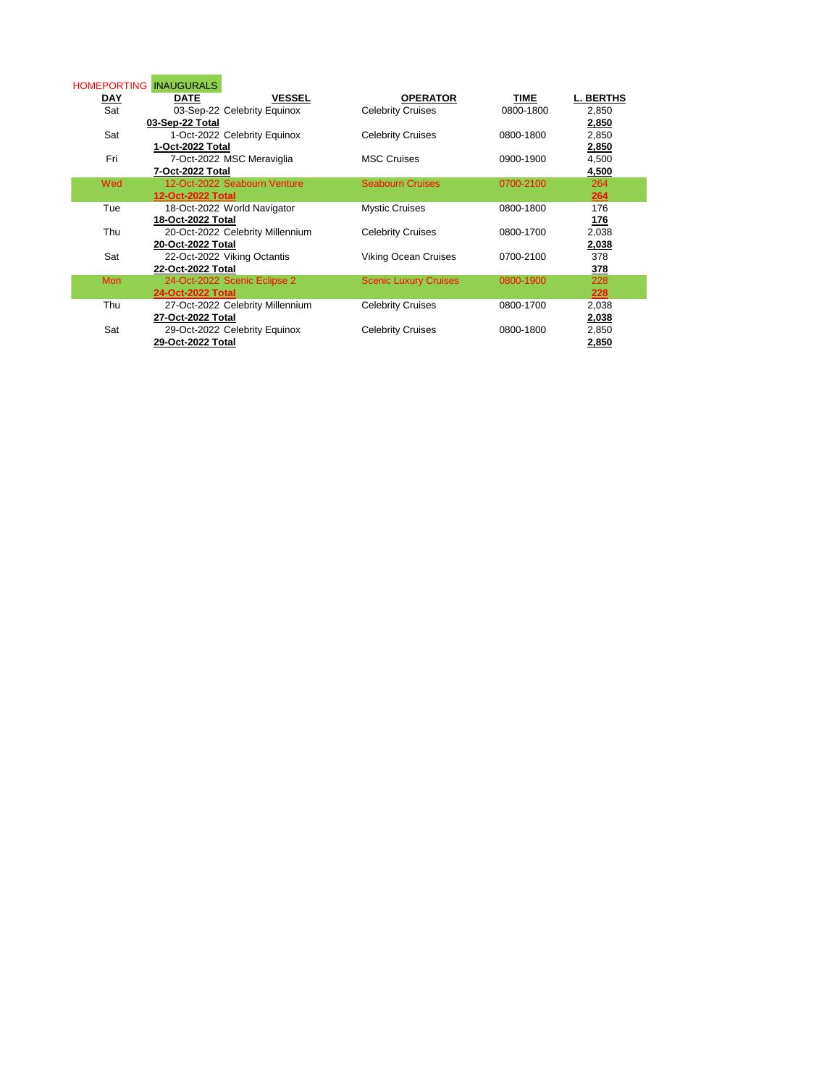| <b>HOMEPORTING</b> | <b>INAUGURALS</b>                |                              |           |                  |
|--------------------|----------------------------------|------------------------------|-----------|------------------|
| <u>DAY</u>         | <b>DATE</b><br><b>VESSEL</b>     | <b>OPERATOR</b>              | TIME      | <b>L. BERTHS</b> |
| Sat                | 03-Sep-22 Celebrity Equinox      | <b>Celebrity Cruises</b>     | 0800-1800 | 2,850            |
|                    | 03-Sep-22 Total                  |                              |           | 2,850            |
| Sat                | 1-Oct-2022 Celebrity Equinox     | <b>Celebrity Cruises</b>     | 0800-1800 | 2,850            |
|                    | 1-Oct-2022 Total                 |                              |           | 2,850            |
| Fri                | 7-Oct-2022 MSC Meraviglia        | <b>MSC Cruises</b>           | 0900-1900 | 4,500            |
|                    | 7-Oct-2022 Total                 |                              |           | 4,500            |
| Wed                | 12-Oct-2022 Seabourn Venture     | <b>Seabourn Cruises</b>      | 0700-2100 | 264              |
|                    | 12-Oct-2022 Total                |                              |           | 264              |
| Tue                | 18-Oct-2022 World Navigator      | <b>Mystic Cruises</b>        | 0800-1800 | 176              |
|                    | 18-Oct-2022 Total                |                              |           | 176              |
| Thu                | 20-Oct-2022 Celebrity Millennium | <b>Celebrity Cruises</b>     | 0800-1700 | 2,038            |
|                    | 20-Oct-2022 Total                |                              |           | 2,038            |
| Sat                | 22-Oct-2022 Viking Octantis      | <b>Viking Ocean Cruises</b>  | 0700-2100 | 378              |
|                    | 22-Oct-2022 Total                |                              |           | 378              |
| <b>Mon</b>         | 24-Oct-2022 Scenic Eclipse 2     | <b>Scenic Luxury Cruises</b> | 0800-1900 | 228              |
|                    | 24-Oct-2022 Total                |                              |           | 228              |
| Thu                | 27-Oct-2022 Celebrity Millennium | <b>Celebrity Cruises</b>     | 0800-1700 | 2,038            |
|                    | 27-Oct-2022 Total                |                              |           | 2,038            |
| Sat                | 29-Oct-2022 Celebrity Equinox    | <b>Celebrity Cruises</b>     | 0800-1800 | 2,850            |
|                    | 29-Oct-2022 Total                |                              |           | 2,850            |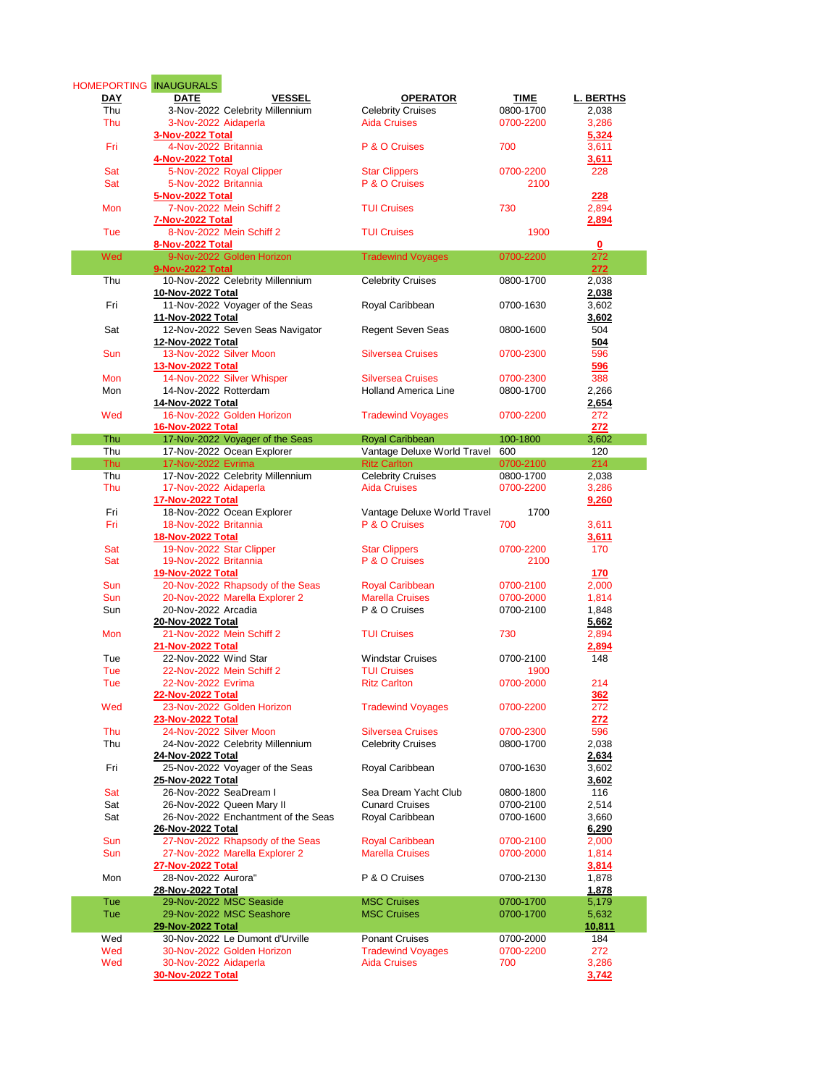| <b>HOMEPORTING INAUGURALS</b> |                                     |                             |           |                  |
|-------------------------------|-------------------------------------|-----------------------------|-----------|------------------|
| DAY                           | <b>DATE</b><br><b>VESSEL</b>        | <b>OPERATOR</b>             | TIME      | <b>L. BERTHS</b> |
| Thu                           | 3-Nov-2022 Celebrity Millennium     | <b>Celebrity Cruises</b>    | 0800-1700 | 2,038            |
| Thu                           | 3-Nov-2022 Aidaperla                | <b>Aida Cruises</b>         | 0700-2200 | 3,286            |
|                               | 3-Nov-2022 Total                    |                             |           | 5,324            |
| Fri                           | 4-Nov-2022 Britannia                | P & O Cruises               | 700       | 3,611            |
|                               | 4-Nov-2022 Total                    |                             |           | 3,611            |
| Sat                           | 5-Nov-2022 Royal Clipper            | <b>Star Clippers</b>        | 0700-2200 | 228              |
| Sat                           | 5-Nov-2022 Britannia                | P & O Cruises               | 2100      |                  |
|                               | 5-Nov-2022 Total                    |                             |           | 228              |
| Mon                           | 7-Nov-2022 Mein Schiff 2            | <b>TUI Cruises</b>          | 730       | 2,894            |
|                               | 7-Nov-2022 Total                    |                             |           | 2,894            |
| Tue                           | 8-Nov-2022 Mein Schiff 2            | <b>TUI Cruises</b>          | 1900      |                  |
|                               | 8-Nov-2022 Total                    |                             |           | 0                |
| Wed                           | 9-Nov-2022 Golden Horizon           | <b>Tradewind Voyages</b>    | 0700-2200 | 272              |
|                               | 9-Nov-2022 Total                    |                             |           | 272              |
| Thu                           | 10-Nov-2022 Celebrity Millennium    | <b>Celebrity Cruises</b>    | 0800-1700 | 2,038            |
|                               | 10-Nov-2022 Total                   |                             |           | 2,038            |
| Fri                           | 11-Nov-2022 Voyager of the Seas     |                             | 0700-1630 |                  |
|                               |                                     | Royal Caribbean             |           | 3,602            |
|                               | 11-Nov-2022 Total                   |                             |           | 3,602            |
| Sat                           | 12-Nov-2022 Seven Seas Navigator    | <b>Regent Seven Seas</b>    | 0800-1600 | 504              |
|                               | 12-Nov-2022 Total                   |                             |           | 504              |
| Sun                           | 13-Nov-2022 Silver Moon             | <b>Silversea Cruises</b>    | 0700-2300 | 596              |
|                               | 13-Nov-2022 Total                   |                             |           | 596              |
| <b>Mon</b>                    | 14-Nov-2022 Silver Whisper          | <b>Silversea Cruises</b>    | 0700-2300 | 388              |
| Mon                           | 14-Nov-2022 Rotterdam               | <b>Holland America Line</b> | 0800-1700 | 2,266            |
|                               | 14-Nov-2022 Total                   |                             |           | 2,654            |
| Wed                           | 16-Nov-2022 Golden Horizon          | <b>Tradewind Voyages</b>    | 0700-2200 | 272              |
|                               | 16-Nov-2022 Total                   |                             |           | 272              |
| Thu                           | 17-Nov-2022 Voyager of the Seas     | <b>Royal Caribbean</b>      | 100-1800  | 3,602            |
| Thu                           | 17-Nov-2022 Ocean Explorer          | Vantage Deluxe World Travel | 600       | 120              |
| <b>Thu</b>                    | 17-Nov-2022 Evrima                  | <b>Ritz Carlton</b>         | 0700-2100 | 214              |
| Thu                           | 17-Nov-2022 Celebrity Millennium    | <b>Celebrity Cruises</b>    | 0800-1700 | 2,038            |
| Thu                           | 17-Nov-2022 Aidaperla               | <b>Aida Cruises</b>         | 0700-2200 | 3,286            |
|                               | 17-Nov-2022 Total                   |                             |           | 9,260            |
| Fri                           | 18-Nov-2022 Ocean Explorer          | Vantage Deluxe World Travel | 1700      |                  |
| Fri                           | 18-Nov-2022 Britannia               | P & O Cruises               | 700       | 3,611            |
|                               | 18-Nov-2022 Total                   |                             |           | 3,611            |
| Sat                           | 19-Nov-2022 Star Clipper            | <b>Star Clippers</b>        | 0700-2200 | 170              |
| Sat                           | 19-Nov-2022 Britannia               | P & O Cruises               | 2100      |                  |
|                               | 19-Nov-2022 Total                   |                             |           | 170              |
| Sun                           | 20-Nov-2022 Rhapsody of the Seas    |                             | 0700-2100 |                  |
|                               |                                     | <b>Royal Caribbean</b>      |           | 2,000            |
| <b>Sun</b>                    | 20-Nov-2022 Marella Explorer 2      | <b>Marella Cruises</b>      | 0700-2000 | 1,814            |
| Sun                           | 20-Nov-2022 Arcadia                 | P & O Cruises               | 0700-2100 | 1,848            |
|                               | 20-Nov-2022 Total                   |                             |           | 5,662            |
| <b>Mon</b>                    | 21-Nov-2022 Mein Schiff 2           | <b>TUI Cruises</b>          | 730       | 2,894            |
|                               | <b>21-Nov-2022 Total</b>            |                             |           | 2,894            |
| Tue                           | 22-Nov-2022 Wind Star               | <b>Windstar Cruises</b>     | 0700-2100 | 148              |
| Tue                           | 22-Nov-2022 Mein Schiff 2           | <b>TUI Cruises</b>          | 1900      |                  |
| Tue                           | 22-Nov-2022 Evrima                  | <b>Ritz Carlton</b>         | 0700-2000 | 214              |
|                               | <b>22-Nov-2022 Total</b>            |                             |           | 362              |
| Wed                           | 23-Nov-2022 Golden Horizon          | <b>Tradewind Voyages</b>    | 0700-2200 | 272              |
|                               | 23-Nov-2022 Total                   |                             |           | 272              |
| Thu                           | 24-Nov-2022 Silver Moon             | <b>Silversea Cruises</b>    | 0700-2300 | 596              |
| Thu                           | 24-Nov-2022 Celebrity Millennium    | <b>Celebrity Cruises</b>    | 0800-1700 | 2,038            |
|                               | 24-Nov-2022 Total                   |                             |           | 2,634            |
| Fri                           | 25-Nov-2022 Voyager of the Seas     | Royal Caribbean             | 0700-1630 | 3,602            |
|                               | 25-Nov-2022 Total                   |                             |           | 3,602            |
| Sat                           | 26-Nov-2022 SeaDream I              | Sea Dream Yacht Club        | 0800-1800 | 116              |
| Sat                           | 26-Nov-2022 Queen Mary II           | <b>Cunard Cruises</b>       | 0700-2100 | 2,514            |
| Sat                           | 26-Nov-2022 Enchantment of the Seas | Royal Caribbean             | 0700-1600 | 3,660            |
|                               | 26-Nov-2022 Total                   |                             |           | 6,290            |
| Sun                           | 27-Nov-2022 Rhapsody of the Seas    | <b>Royal Caribbean</b>      | 0700-2100 | 2,000            |
| Sun                           | 27-Nov-2022 Marella Explorer 2      | <b>Marella Cruises</b>      | 0700-2000 | 1,814            |
|                               | 27-Nov-2022 Total                   |                             |           | 3,814            |
| Mon                           | 28-Nov-2022 Aurora"                 | P & O Cruises               | 0700-2130 | 1,878            |
|                               | 28-Nov-2022 Total                   |                             |           | 1,878            |
| Tue                           | 29-Nov-2022 MSC Seaside             | <b>MSC Cruises</b>          | 0700-1700 |                  |
|                               |                                     |                             |           | 5,179            |
| Tue                           | 29-Nov-2022 MSC Seashore            | <b>MSC Cruises</b>          | 0700-1700 | 5,632            |
|                               | 29-Nov-2022 Total                   |                             |           | 10,811           |
| Wed                           | 30-Nov-2022 Le Dumont d'Urville     | <b>Ponant Cruises</b>       | 0700-2000 | 184              |
| Wed                           | 30-Nov-2022 Golden Horizon          | <b>Tradewind Voyages</b>    | 0700-2200 | 272              |
| Wed                           | 30-Nov-2022 Aidaperla               | <b>Aida Cruises</b>         | 700       | 3,286            |
|                               | 30-Nov-2022 Total                   |                             |           | 3,742            |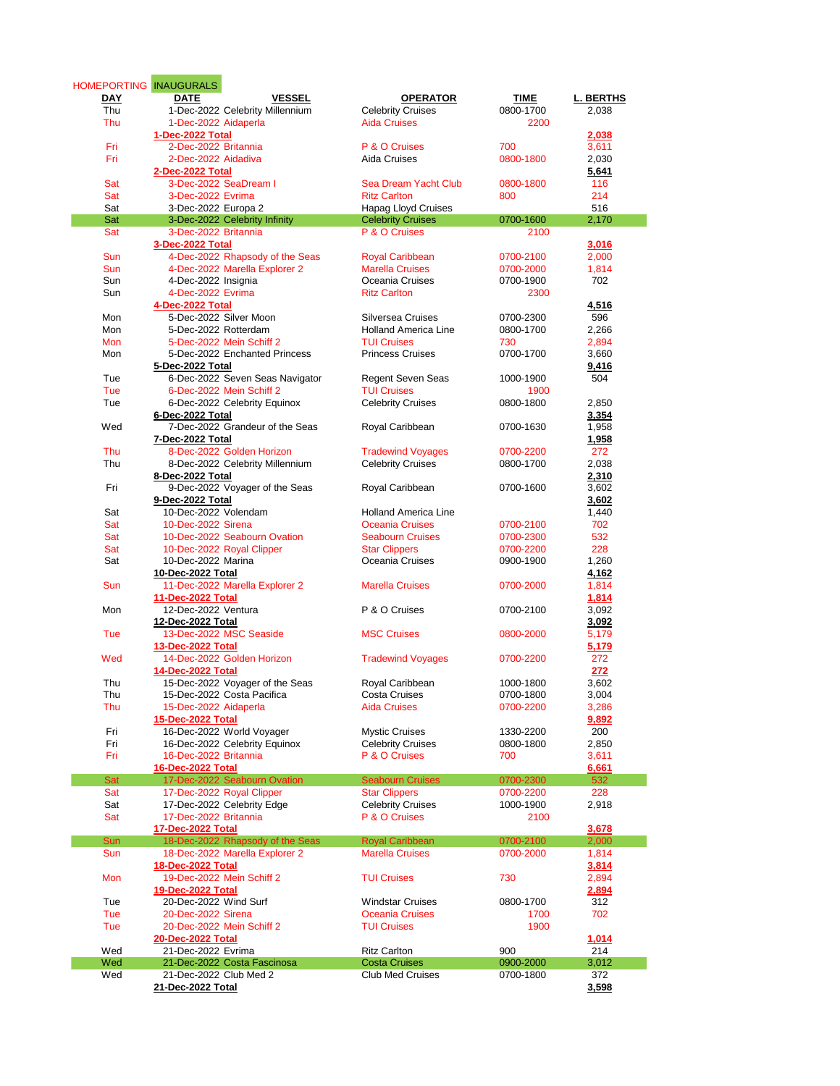| HOMEPORTING INAUGURALS |                                  |                             |           |                  |
|------------------------|----------------------------------|-----------------------------|-----------|------------------|
| DAY                    | <b>VESSEL</b><br>DATE            | <b>OPERATOR</b>             | TIME      | <b>L. BERTHS</b> |
| Thu                    | 1-Dec-2022 Celebrity Millennium  | <b>Celebrity Cruises</b>    | 0800-1700 | 2,038            |
| Thu                    | 1-Dec-2022 Aidaperla             | <b>Aida Cruises</b>         | 2200      |                  |
|                        | 1-Dec-2022 Total                 |                             |           | 2,038            |
| Fri                    | 2-Dec-2022 Britannia             | P & O Cruises               | 700       | 3,611            |
|                        |                                  |                             |           |                  |
| Fri                    | 2-Dec-2022 Aidadiva              | Aida Cruises                | 0800-1800 | 2,030            |
|                        | 2-Dec-2022 Total                 |                             |           | 5,641            |
| Sat                    | 3-Dec-2022 SeaDream I            | Sea Dream Yacht Club        | 0800-1800 | 116              |
| Sat                    | 3-Dec-2022 Evrima                | <b>Ritz Carlton</b>         | 800       | 214              |
| Sat                    | 3-Dec-2022 Europa 2              | <b>Hapag Lloyd Cruises</b>  |           | 516              |
| Sat                    | 3-Dec-2022 Celebrity Infinity    | <b>Celebrity Cruises</b>    | 0700-1600 | 2,170            |
| Sat                    | 3-Dec-2022 Britannia             | P & O Cruises               | 2100      |                  |
|                        |                                  |                             |           |                  |
|                        | 3-Dec-2022 Total                 |                             |           | 3,016            |
| Sun                    | 4-Dec-2022 Rhapsody of the Seas  | <b>Royal Caribbean</b>      | 0700-2100 | 2,000            |
| Sun                    | 4-Dec-2022 Marella Explorer 2    | <b>Marella Cruises</b>      | 0700-2000 | 1,814            |
| Sun                    | 4-Dec-2022 Insignia              | Oceania Cruises             | 0700-1900 | 702              |
| Sun                    | 4-Dec-2022 Evrima                | <b>Ritz Carlton</b>         | 2300      |                  |
|                        | 4-Dec-2022 Total                 |                             |           | <u>4,516</u>     |
| Mon                    | 5-Dec-2022 Silver Moon           | Silversea Cruises           | 0700-2300 | 596              |
|                        |                                  |                             |           |                  |
| Mon                    | 5-Dec-2022 Rotterdam             | <b>Holland America Line</b> | 0800-1700 | 2,266            |
| Mon                    | 5-Dec-2022 Mein Schiff 2         | <b>TUI Cruises</b>          | 730       | 2,894            |
| Mon                    | 5-Dec-2022 Enchanted Princess    | <b>Princess Cruises</b>     | 0700-1700 | 3,660            |
|                        | 5-Dec-2022 Total                 |                             |           | 9,416            |
| Tue                    | 6-Dec-2022 Seven Seas Navigator  | Regent Seven Seas           | 1000-1900 | 504              |
| Tue                    | 6-Dec-2022 Mein Schiff 2         | <b>TUI Cruises</b>          | 1900      |                  |
| Tue                    | 6-Dec-2022 Celebrity Equinox     | <b>Celebrity Cruises</b>    | 0800-1800 | 2,850            |
|                        |                                  |                             |           |                  |
|                        | 6-Dec-2022 Total                 |                             |           | 3,354            |
| Wed                    | 7-Dec-2022 Grandeur of the Seas  | Royal Caribbean             | 0700-1630 | 1,958            |
|                        | 7-Dec-2022 Total                 |                             |           | <u>1,958</u>     |
| Thu                    | 8-Dec-2022 Golden Horizon        | <b>Tradewind Voyages</b>    | 0700-2200 | 272              |
| Thu                    | 8-Dec-2022 Celebrity Millennium  | <b>Celebrity Cruises</b>    | 0800-1700 | 2,038            |
|                        | 8-Dec-2022 Total                 |                             |           | 2,310            |
| Fri                    | 9-Dec-2022 Voyager of the Seas   | Royal Caribbean             | 0700-1600 | 3,602            |
|                        |                                  |                             |           |                  |
|                        | 9-Dec-2022 Total                 |                             |           | 3,602            |
| Sat                    | 10-Dec-2022 Volendam             | <b>Holland America Line</b> |           | 1,440            |
| Sat                    | 10-Dec-2022 Sirena               | <b>Oceania Cruises</b>      | 0700-2100 | 702              |
| Sat                    | 10-Dec-2022 Seabourn Ovation     | <b>Seabourn Cruises</b>     | 0700-2300 | 532              |
| Sat                    | 10-Dec-2022 Royal Clipper        | <b>Star Clippers</b>        | 0700-2200 | 228              |
| Sat                    | 10-Dec-2022 Marina               | Oceania Cruises             | 0900-1900 | 1,260            |
|                        | 10-Dec-2022 Total                |                             |           | 4,162            |
|                        |                                  |                             |           |                  |
| Sun                    | 11-Dec-2022 Marella Explorer 2   | <b>Marella Cruises</b>      | 0700-2000 | 1,814            |
|                        | 11-Dec-2022 Total                |                             |           | 1,814            |
| Mon                    | 12-Dec-2022 Ventura              | P & O Cruises               | 0700-2100 | 3,092            |
|                        | 12-Dec-2022 Total                |                             |           | 3,092            |
| Tue                    | 13-Dec-2022 MSC Seaside          | <b>MSC Cruises</b>          | 0800-2000 | 5,179            |
|                        | 13-Dec-2022 Total                |                             |           | 5,179            |
| Wed                    | 14-Dec-2022 Golden Horizon       | <b>Tradewind Voyages</b>    | 0700-2200 | 272              |
|                        |                                  |                             |           |                  |
|                        | 14-Dec-2022 Total                |                             |           | 272              |
| Thu                    | 15-Dec-2022 Voyager of the Seas  | Royal Caribbean             | 1000-1800 | 3,602            |
| Thu                    | 15-Dec-2022 Costa Pacifica       | <b>Costa Cruises</b>        | 0700-1800 | 3.004            |
| Thu                    | 15-Dec-2022 Aidaperla            | <b>Aida Cruises</b>         | 0700-2200 | 3,286            |
|                        | 15-Dec-2022 Total                |                             |           | 9,892            |
| Fri                    | 16-Dec-2022 World Voyager        | <b>Mystic Cruises</b>       | 1330-2200 | 200              |
| Fri                    | 16-Dec-2022 Celebrity Equinox    | <b>Celebrity Cruises</b>    | 0800-1800 | 2,850            |
|                        |                                  | P & O Cruises               |           |                  |
| Fri                    | 16-Dec-2022 Britannia            |                             | 700       | 3,611            |
|                        | 16-Dec-2022 Total                |                             |           | 6,661            |
| Sat                    | 17-Dec-2022 Seabourn Ovation     | <b>Seabourn Cruises</b>     | 0700-2300 | 532              |
| Sat                    | 17-Dec-2022 Royal Clipper        | <b>Star Clippers</b>        | 0700-2200 | 228              |
| Sat                    | 17-Dec-2022 Celebrity Edge       | <b>Celebrity Cruises</b>    | 1000-1900 | 2,918            |
| Sat                    | 17-Dec-2022 Britannia            | P & O Cruises               | 2100      |                  |
|                        | 17-Dec-2022 Total                |                             |           | 3,678            |
|                        | 18-Dec-2022 Rhapsody of the Seas |                             |           |                  |
| Sun                    |                                  | <b>Royal Caribbean</b>      | 0700-2100 | 2,000            |
| Sun                    | 18-Dec-2022 Marella Explorer 2   | <b>Marella Cruises</b>      | 0700-2000 | 1,814            |
|                        | 18-Dec-2022 Total                |                             |           | 3,814            |
| Mon                    | 19-Dec-2022 Mein Schiff 2        | <b>TUI Cruises</b>          | 730       | 2,894            |
|                        | 19-Dec-2022 Total                |                             |           | 2,894            |
| Tue                    | 20-Dec-2022 Wind Surf            | <b>Windstar Cruises</b>     | 0800-1700 | 312              |
| Tue                    | 20-Dec-2022 Sirena               | <b>Oceania Cruises</b>      | 1700      | 702              |
|                        |                                  |                             |           |                  |
| Tue                    | 20-Dec-2022 Mein Schiff 2        | <b>TUI Cruises</b>          | 1900      |                  |
|                        | 20-Dec-2022 Total                |                             |           | 1,014            |
| Wed                    | 21-Dec-2022 Evrima               | <b>Ritz Carlton</b>         | 900       | 214              |
| Wed                    | 21-Dec-2022 Costa Fascinosa      | <b>Costa Cruises</b>        | 0900-2000 | 3,012            |
| Wed                    | 21-Dec-2022 Club Med 2           | <b>Club Med Cruises</b>     | 0700-1800 | 372              |
|                        | 21-Dec-2022 Total                |                             |           | 3,598            |
|                        |                                  |                             |           |                  |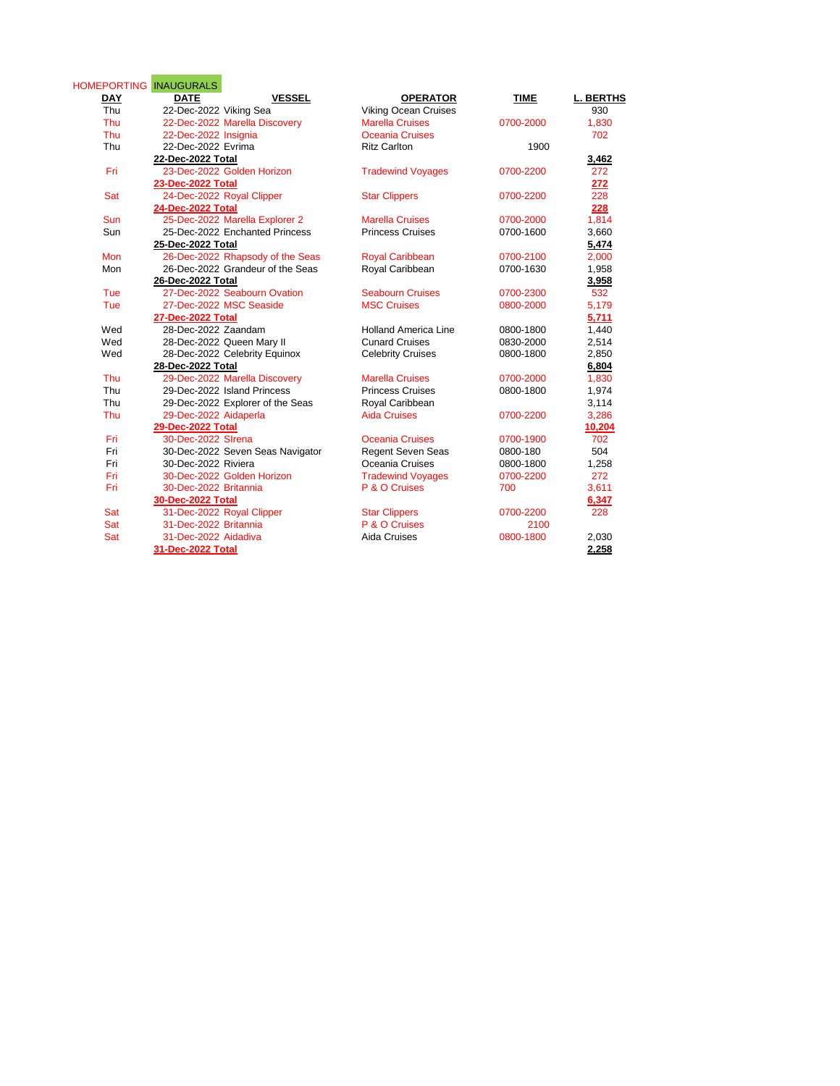| <b>DAY</b> | HOMEPORTING INAUGURALS<br><b>VESSEL</b><br><b>DATE</b> | <b>OPERATOR</b>             | <b>TIME</b> | <b>L. BERTHS</b> |
|------------|--------------------------------------------------------|-----------------------------|-------------|------------------|
| Thu        | 22-Dec-2022 Viking Sea                                 | <b>Viking Ocean Cruises</b> |             | 930              |
| Thu        | 22-Dec-2022 Marella Discovery                          | <b>Marella Cruises</b>      | 0700-2000   | 1,830            |
| Thu        | 22-Dec-2022 Insignia                                   | <b>Oceania Cruises</b>      |             | 702              |
| Thu        | 22-Dec-2022 Evrima                                     | <b>Ritz Carlton</b>         | 1900        |                  |
|            | 22-Dec-2022 Total                                      |                             |             | 3,462            |
| Fri        | 23-Dec-2022 Golden Horizon                             | <b>Tradewind Voyages</b>    | 0700-2200   | 272              |
|            | 23-Dec-2022 Total                                      |                             |             | 272              |
| Sat        | 24-Dec-2022 Royal Clipper                              | <b>Star Clippers</b>        | 0700-2200   | 228              |
|            | 24-Dec-2022 Total                                      |                             |             | 228              |
| Sun        | 25-Dec-2022 Marella Explorer 2                         | <b>Marella Cruises</b>      | 0700-2000   | 1,814            |
| Sun        | 25-Dec-2022 Enchanted Princess                         | <b>Princess Cruises</b>     | 0700-1600   | 3,660            |
|            | 25-Dec-2022 Total                                      |                             |             | 5,474            |
| Mon        | 26-Dec-2022 Rhapsody of the Seas                       | <b>Royal Caribbean</b>      | 0700-2100   | 2,000            |
| Mon        | 26-Dec-2022 Grandeur of the Seas                       | Royal Caribbean             | 0700-1630   | 1,958            |
|            | 26-Dec-2022 Total                                      |                             |             | 3,958            |
| Tue        | 27-Dec-2022 Seabourn Ovation                           | <b>Seabourn Cruises</b>     | 0700-2300   | 532              |
| Tue        | 27-Dec-2022 MSC Seaside                                | <b>MSC Cruises</b>          | 0800-2000   | 5,179            |
|            | <b>27-Dec-2022 Total</b>                               |                             |             | 5,711            |
| Wed        | 28-Dec-2022 Zaandam                                    | <b>Holland America Line</b> | 0800-1800   | 1,440            |
| Wed        | 28-Dec-2022 Queen Mary II                              | <b>Cunard Cruises</b>       | 0830-2000   | 2,514            |
| Wed        | 28-Dec-2022 Celebrity Equinox                          | <b>Celebrity Cruises</b>    | 0800-1800   | 2,850            |
|            | 28-Dec-2022 Total                                      |                             |             | 6,804            |
| Thu        | 29-Dec-2022 Marella Discovery                          | <b>Marella Cruises</b>      | 0700-2000   | 1,830            |
| Thu        | 29-Dec-2022 Island Princess                            | <b>Princess Cruises</b>     | 0800-1800   | 1,974            |
| Thu        | 29-Dec-2022 Explorer of the Seas                       | Royal Caribbean             |             | 3,114            |
| Thu        | 29-Dec-2022 Aidaperla                                  | <b>Aida Cruises</b>         | 0700-2200   | 3,286            |
|            | 29-Dec-2022 Total                                      |                             |             | 10,204           |
| Fri        | 30-Dec-2022 SIrena                                     | Oceania Cruises             | 0700-1900   | 702              |
| Fri        | 30-Dec-2022 Seven Seas Navigator                       | <b>Regent Seven Seas</b>    | 0800-180    | 504              |
| Fri        | 30-Dec-2022 Riviera                                    | Oceania Cruises             | 0800-1800   | 1,258            |
| Fri        | 30-Dec-2022 Golden Horizon                             | <b>Tradewind Voyages</b>    | 0700-2200   | 272              |
| Fri        | 30-Dec-2022 Britannia                                  | P & O Cruises               | 700         | 3,611            |
|            | 30-Dec-2022 Total                                      |                             |             | 6,347            |
| Sat        | 31-Dec-2022 Royal Clipper                              | <b>Star Clippers</b>        | 0700-2200   | 228              |
| Sat        | 31-Dec-2022 Britannia                                  | P & O Cruises               | 2100        |                  |
| Sat        | 31-Dec-2022 Aidadiva                                   | Aida Cruises                | 0800-1800   | 2,030            |
|            | 31-Dec-2022 Total                                      |                             |             | 2,258            |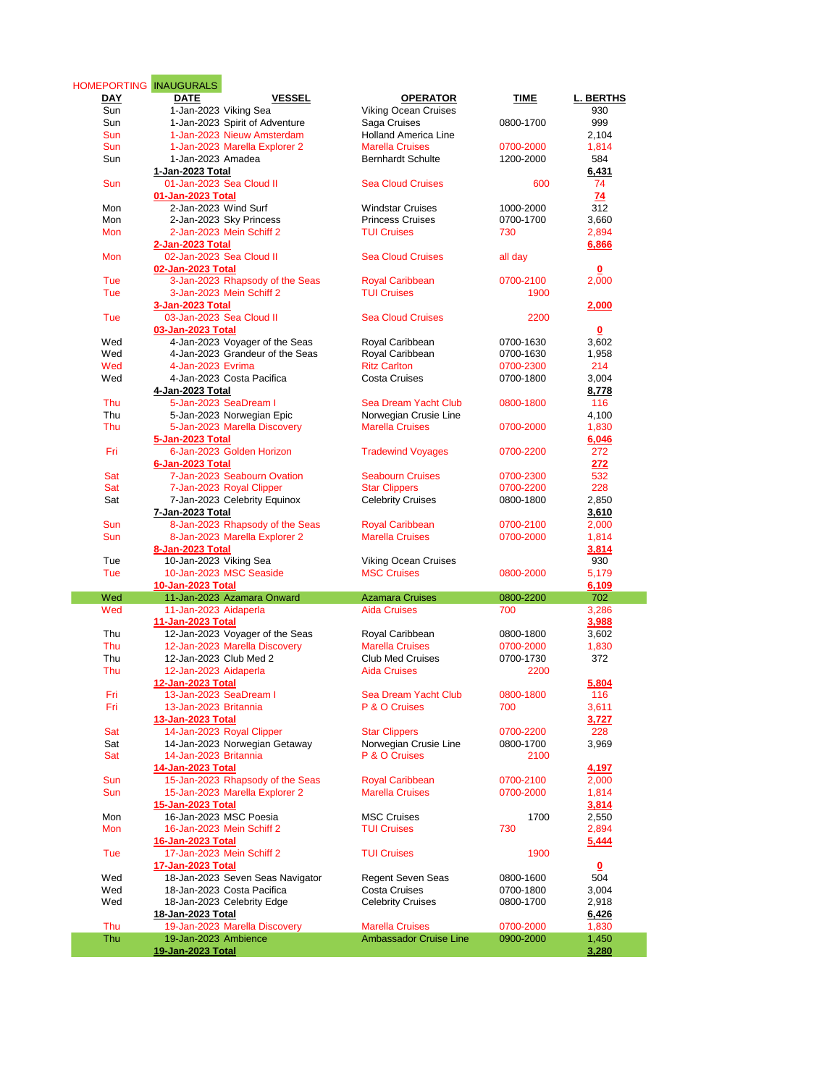| DAY<br>Sun | HOMEPORTING INAUGURALS<br><b>DATE</b><br><b>VESSEL</b> | <b>OPERATOR</b>                                         | TIME                   | <b>L. BERTHS</b>        |
|------------|--------------------------------------------------------|---------------------------------------------------------|------------------------|-------------------------|
|            |                                                        |                                                         |                        |                         |
|            | 1-Jan-2023 Viking Sea                                  | <b>Viking Ocean Cruises</b>                             |                        | 930                     |
| Sun        | 1-Jan-2023 Spirit of Adventure                         | Saga Cruises                                            | 0800-1700              | 999                     |
| Sun        | 1-Jan-2023 Nieuw Amsterdam                             | <b>Holland America Line</b>                             |                        | 2,104                   |
| Sun        | 1-Jan-2023 Marella Explorer 2                          | <b>Marella Cruises</b>                                  | 0700-2000              | 1,814                   |
| Sun        | 1-Jan-2023 Amadea                                      | <b>Bernhardt Schulte</b>                                | 1200-2000              | 584                     |
|            | 1-Jan-2023 Total                                       |                                                         |                        | 6,431                   |
| Sun        | 01-Jan-2023 Sea Cloud II                               | <b>Sea Cloud Cruises</b>                                | 600                    | 74                      |
|            | 01-Jan-2023 Total                                      |                                                         |                        | 74                      |
| Mon        | 2-Jan-2023 Wind Surf                                   | <b>Windstar Cruises</b>                                 | 1000-2000              | 312                     |
| Mon        | 2-Jan-2023 Sky Princess                                | <b>Princess Cruises</b>                                 | 0700-1700              | 3.660                   |
| Mon        | 2-Jan-2023 Mein Schiff 2                               | <b>TUI Cruises</b>                                      | 730                    | 2,894                   |
|            | 2-Jan-2023 Total                                       |                                                         |                        | 6,866                   |
| Mon        | 02-Jan-2023 Sea Cloud II                               | <b>Sea Cloud Cruises</b>                                | all day                |                         |
|            |                                                        |                                                         |                        |                         |
|            | 02-Jan-2023 Total                                      |                                                         |                        | $\mathbf 0$             |
| Tue        | 3-Jan-2023 Rhapsody of the Seas                        | <b>Royal Caribbean</b>                                  | 0700-2100              | 2,000                   |
| Tue        | 3-Jan-2023 Mein Schiff 2                               | <b>TUI Cruises</b>                                      | 1900                   |                         |
|            | 3-Jan-2023 Total                                       |                                                         |                        | 2,000                   |
| Tue        | 03-Jan-2023 Sea Cloud II                               | <b>Sea Cloud Cruises</b>                                | 2200                   |                         |
|            | 03-Jan-2023 Total                                      |                                                         |                        | 0                       |
| Wed        | 4-Jan-2023 Voyager of the Seas                         | Royal Caribbean                                         | 0700-1630              | 3,602                   |
| Wed        | 4-Jan-2023 Grandeur of the Seas                        | Royal Caribbean                                         | 0700-1630              | 1,958                   |
| Wed        | 4-Jan-2023 Evrima                                      | <b>Ritz Carlton</b>                                     | 0700-2300              | 214                     |
| Wed        | 4-Jan-2023 Costa Pacifica                              | <b>Costa Cruises</b>                                    | 0700-1800              | 3,004                   |
|            | 4-Jan-2023 Total                                       |                                                         |                        | 8,778                   |
| Thu        | 5-Jan-2023 SeaDream I                                  | Sea Dream Yacht Club                                    | 0800-1800              | 116                     |
| Thu        | 5-Jan-2023 Norwegian Epic                              | Norwegian Crusie Line                                   |                        | 4,100                   |
| Thu        | 5-Jan-2023 Marella Discovery                           | <b>Marella Cruises</b>                                  | 0700-2000              | 1,830                   |
|            |                                                        |                                                         |                        |                         |
|            | 5-Jan-2023 Total                                       |                                                         |                        | 6,046                   |
| Fri        | 6-Jan-2023 Golden Horizon                              | <b>Tradewind Voyages</b>                                | 0700-2200              | 272                     |
|            | 6-Jan-2023 Total                                       |                                                         |                        | 272                     |
| Sat        | 7-Jan-2023 Seabourn Ovation                            | <b>Seabourn Cruises</b>                                 | 0700-2300              | 532                     |
| Sat        | 7-Jan-2023 Royal Clipper                               | <b>Star Clippers</b>                                    | 0700-2200              | 228                     |
| Sat        | 7-Jan-2023 Celebrity Equinox                           | <b>Celebrity Cruises</b>                                | 0800-1800              | 2,850                   |
|            | 7-Jan-2023 Total                                       |                                                         |                        | <u>3,610</u>            |
| Sun        | 8-Jan-2023 Rhapsody of the Seas                        | <b>Royal Caribbean</b>                                  | 0700-2100              | 2,000                   |
| Sun        | 8-Jan-2023 Marella Explorer 2                          | <b>Marella Cruises</b>                                  | 0700-2000              | 1,814                   |
|            | 8-Jan-2023 Total                                       |                                                         |                        | 3,814                   |
| Tue        | 10-Jan-2023 Viking Sea                                 | <b>Viking Ocean Cruises</b>                             |                        | 930                     |
| Tue        | 10-Jan-2023 MSC Seaside                                | <b>MSC Cruises</b>                                      | 0800-2000              | 5,179                   |
|            | 10-Jan-2023 Total                                      |                                                         |                        | 6,109                   |
| Wed        | 11-Jan-2023 Azamara Onward                             | <b>Azamara Cruises</b>                                  | 0800-2200              | 702                     |
| Wed        | 11-Jan-2023 Aidaperla                                  | <b>Aida Cruises</b>                                     | 700                    | 3,286                   |
|            |                                                        |                                                         |                        |                         |
|            |                                                        |                                                         |                        |                         |
|            | 11-Jan-2023 Total                                      |                                                         |                        | 3,988                   |
| Thu        | 12-Jan-2023 Voyager of the Seas                        | Royal Caribbean                                         | 0800-1800              | 3,602                   |
| Thu        | 12-Jan-2023 Marella Discovery                          | <b>Marella Cruises</b>                                  | 0700-2000              | 1,830                   |
| Thu        | 12-Jan-2023 Club Med 2                                 | <b>Club Med Cruises</b>                                 | 0700-1730              | 372                     |
| Thu        | 12-Jan-2023 Aidaperla                                  | <b>Aida Cruises</b>                                     | 2200                   |                         |
|            | <u>12-Jan-2023 Total</u>                               |                                                         |                        | 5,804                   |
| Fri        | 13-Jan-2023 SeaDream I                                 | Sea Dream Yacht Club                                    | 0800-1800              | 116                     |
| Fri        | 13-Jan-2023 Britannia                                  | P & O Cruises                                           | 700                    | 3,611                   |
|            |                                                        |                                                         |                        |                         |
|            | 13-Jan-2023 Total                                      |                                                         |                        | 3,727                   |
| Sat        | 14-Jan-2023 Royal Clipper                              | <b>Star Clippers</b>                                    | 0700-2200              | 228                     |
| Sat        | 14-Jan-2023 Norwegian Getaway                          | Norwegian Crusie Line                                   | 0800-1700              | 3,969                   |
| Sat        | 14-Jan-2023 Britannia                                  | P & O Cruises                                           | 2100                   |                         |
|            | 14-Jan-2023 Total                                      |                                                         |                        | 4,197                   |
| Sun        | 15-Jan-2023 Rhapsody of the Seas                       | <b>Royal Caribbean</b>                                  | 0700-2100              | 2,000                   |
| Sun        | 15-Jan-2023 Marella Explorer 2                         | <b>Marella Cruises</b>                                  | 0700-2000              | 1,814                   |
|            | 15-Jan-2023 Total                                      |                                                         |                        | 3,814                   |
| Mon        | 16-Jan-2023 MSC Poesia                                 | <b>MSC Cruises</b>                                      | 1700                   | 2,550                   |
| Mon        | 16-Jan-2023 Mein Schiff 2                              | <b>TUI Cruises</b>                                      | 730                    | 2,894                   |
|            | 16-Jan-2023 Total                                      |                                                         |                        | 5,444                   |
|            |                                                        | <b>TUI Cruises</b>                                      |                        |                         |
| Tue        | 17-Jan-2023 Mein Schiff 2                              |                                                         | 1900                   |                         |
|            | 17-Jan-2023 Total                                      |                                                         |                        | $\overline{\mathbf{0}}$ |
| Wed        | 18-Jan-2023 Seven Seas Navigator                       | <b>Regent Seven Seas</b>                                | 0800-1600              | 504                     |
| Wed        | 18-Jan-2023 Costa Pacifica                             | Costa Cruises                                           | 0700-1800              | 3,004                   |
| Wed        | 18-Jan-2023 Celebrity Edge                             | <b>Celebrity Cruises</b>                                | 0800-1700              | 2,918                   |
|            | 18-Jan-2023 Total                                      |                                                         |                        | 6,426                   |
| Thu<br>Thu | 19-Jan-2023 Marella Discovery<br>19-Jan-2023 Ambience  | <b>Marella Cruises</b><br><b>Ambassador Cruise Line</b> | 0700-2000<br>0900-2000 | 1,830<br>1,450          |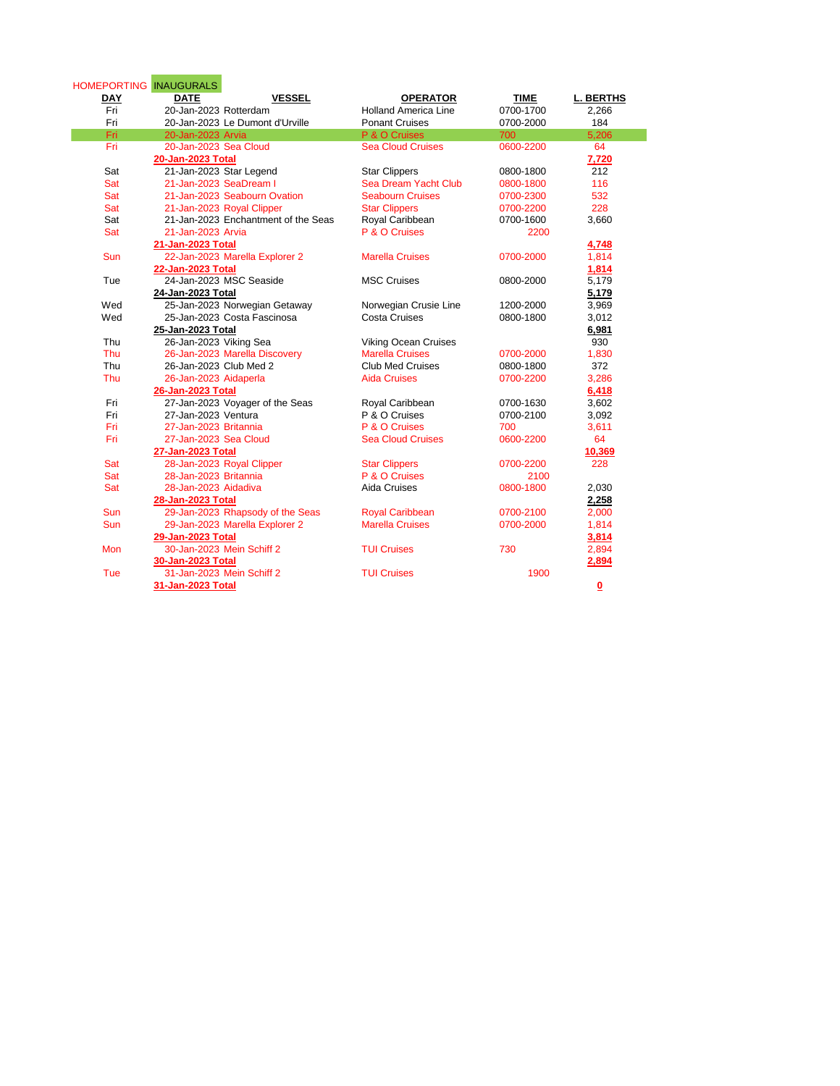| <b>VESSEL</b><br><b>DAY</b><br><b>DATE</b><br><b>OPERATOR</b><br>Fri<br>20-Jan-2023 Rotterdam<br><b>Holland America Line</b><br>Fri<br>20-Jan-2023 Le Dumont d'Urville<br><b>Ponant Cruises</b><br>Fri<br>20-Jan-2023 Arvia<br>P & O Cruises<br>700<br>Fri<br>20-Jan-2023 Sea Cloud<br><b>Sea Cloud Cruises</b><br>20-Jan-2023 Total | <b>TIME</b><br><b>L. BERTHS</b><br>0700-1700<br>2,266<br>184<br>0700-2000<br>5,206<br>64<br>0600-2200<br>7,720<br>212<br>0800-1800<br>116<br>0800-1800<br>532<br>0700-2300 |
|--------------------------------------------------------------------------------------------------------------------------------------------------------------------------------------------------------------------------------------------------------------------------------------------------------------------------------------|----------------------------------------------------------------------------------------------------------------------------------------------------------------------------|
|                                                                                                                                                                                                                                                                                                                                      |                                                                                                                                                                            |
|                                                                                                                                                                                                                                                                                                                                      |                                                                                                                                                                            |
|                                                                                                                                                                                                                                                                                                                                      |                                                                                                                                                                            |
|                                                                                                                                                                                                                                                                                                                                      |                                                                                                                                                                            |
|                                                                                                                                                                                                                                                                                                                                      |                                                                                                                                                                            |
|                                                                                                                                                                                                                                                                                                                                      |                                                                                                                                                                            |
| Sat<br>21-Jan-2023 Star Legend<br><b>Star Clippers</b>                                                                                                                                                                                                                                                                               |                                                                                                                                                                            |
| Sat<br>21-Jan-2023 SeaDream I<br>Sea Dream Yacht Club                                                                                                                                                                                                                                                                                |                                                                                                                                                                            |
| Sat<br>21-Jan-2023 Seabourn Ovation<br><b>Seabourn Cruises</b>                                                                                                                                                                                                                                                                       |                                                                                                                                                                            |
| Sat<br>21-Jan-2023 Royal Clipper<br><b>Star Clippers</b>                                                                                                                                                                                                                                                                             | 228<br>0700-2200                                                                                                                                                           |
| Sat<br>21-Jan-2023 Enchantment of the Seas<br>Royal Caribbean                                                                                                                                                                                                                                                                        | 3,660<br>0700-1600                                                                                                                                                         |
| Sat<br>P & O Cruises<br>21-Jan-2023 Arvia                                                                                                                                                                                                                                                                                            | 2200                                                                                                                                                                       |
| 21-Jan-2023 Total                                                                                                                                                                                                                                                                                                                    | 4,748                                                                                                                                                                      |
| 22-Jan-2023 Marella Explorer 2<br>Sun<br><b>Marella Cruises</b>                                                                                                                                                                                                                                                                      | 0700-2000<br>1,814                                                                                                                                                         |
| 22-Jan-2023 Total                                                                                                                                                                                                                                                                                                                    | 1,814                                                                                                                                                                      |
| 24-Jan-2023 MSC Seaside<br>Tue<br><b>MSC Cruises</b>                                                                                                                                                                                                                                                                                 | 5,179<br>0800-2000                                                                                                                                                         |
| 24-Jan-2023 Total                                                                                                                                                                                                                                                                                                                    | 5,179                                                                                                                                                                      |
| Wed<br>25-Jan-2023 Norwegian Getaway<br>Norwegian Crusie Line                                                                                                                                                                                                                                                                        | 3,969<br>1200-2000                                                                                                                                                         |
| 25-Jan-2023 Costa Fascinosa<br>Wed<br><b>Costa Cruises</b>                                                                                                                                                                                                                                                                           | 3,012<br>0800-1800                                                                                                                                                         |
| 25-Jan-2023 Total                                                                                                                                                                                                                                                                                                                    | 6,981                                                                                                                                                                      |
| Thu<br>26-Jan-2023 Viking Sea<br><b>Viking Ocean Cruises</b>                                                                                                                                                                                                                                                                         | 930                                                                                                                                                                        |
| Thu<br>26-Jan-2023 Marella Discovery<br><b>Marella Cruises</b>                                                                                                                                                                                                                                                                       | 0700-2000<br>1,830                                                                                                                                                         |
| Thu<br>26-Jan-2023 Club Med 2<br><b>Club Med Cruises</b>                                                                                                                                                                                                                                                                             | 372<br>0800-1800                                                                                                                                                           |
| <b>Thu</b><br>26-Jan-2023 Aidaperla<br><b>Aida Cruises</b>                                                                                                                                                                                                                                                                           | 3,286<br>0700-2200                                                                                                                                                         |
| 26-Jan-2023 Total                                                                                                                                                                                                                                                                                                                    | 6,418                                                                                                                                                                      |
| 27-Jan-2023 Voyager of the Seas<br>Fri<br>Royal Caribbean                                                                                                                                                                                                                                                                            | 3,602<br>0700-1630                                                                                                                                                         |
| 27-Jan-2023 Ventura<br>P & O Cruises<br>Fri                                                                                                                                                                                                                                                                                          | 0700-2100<br>3,092                                                                                                                                                         |
| P & O Cruises<br>Fri<br>27-Jan-2023 Britannia<br>700                                                                                                                                                                                                                                                                                 | 3,611                                                                                                                                                                      |
| Fri<br>27-Jan-2023 Sea Cloud<br><b>Sea Cloud Cruises</b>                                                                                                                                                                                                                                                                             | 0600-2200<br>64                                                                                                                                                            |
| 27-Jan-2023 Total                                                                                                                                                                                                                                                                                                                    | 10,369                                                                                                                                                                     |
| Sat<br>28-Jan-2023 Royal Clipper<br><b>Star Clippers</b>                                                                                                                                                                                                                                                                             | 0700-2200<br>228                                                                                                                                                           |
| Sat<br>P & O Cruises<br>28-Jan-2023 Britannia                                                                                                                                                                                                                                                                                        | 2100                                                                                                                                                                       |
| Sat<br>28-Jan-2023 Aidadiva<br>Aida Cruises                                                                                                                                                                                                                                                                                          | 0800-1800<br>2,030                                                                                                                                                         |
| 28-Jan-2023 Total                                                                                                                                                                                                                                                                                                                    | 2,258                                                                                                                                                                      |
| 29-Jan-2023 Rhapsody of the Seas<br><b>Sun</b><br><b>Royal Caribbean</b>                                                                                                                                                                                                                                                             | 0700-2100<br>2,000                                                                                                                                                         |
| 29-Jan-2023 Marella Explorer 2<br><b>Marella Cruises</b><br><b>Sun</b>                                                                                                                                                                                                                                                               | 1,814<br>0700-2000                                                                                                                                                         |
| 29-Jan-2023 Total                                                                                                                                                                                                                                                                                                                    | 3,814                                                                                                                                                                      |
| 30-Jan-2023 Mein Schiff 2<br><b>Mon</b><br><b>TUI Cruises</b><br>730                                                                                                                                                                                                                                                                 | 2,894                                                                                                                                                                      |
| 30-Jan-2023 Total                                                                                                                                                                                                                                                                                                                    | 2,894                                                                                                                                                                      |
| 31-Jan-2023 Mein Schiff 2<br>Tue<br><b>TUI Cruises</b>                                                                                                                                                                                                                                                                               | 1900                                                                                                                                                                       |
| 31-Jan-2023 Total                                                                                                                                                                                                                                                                                                                    | $\overline{\mathbf{0}}$                                                                                                                                                    |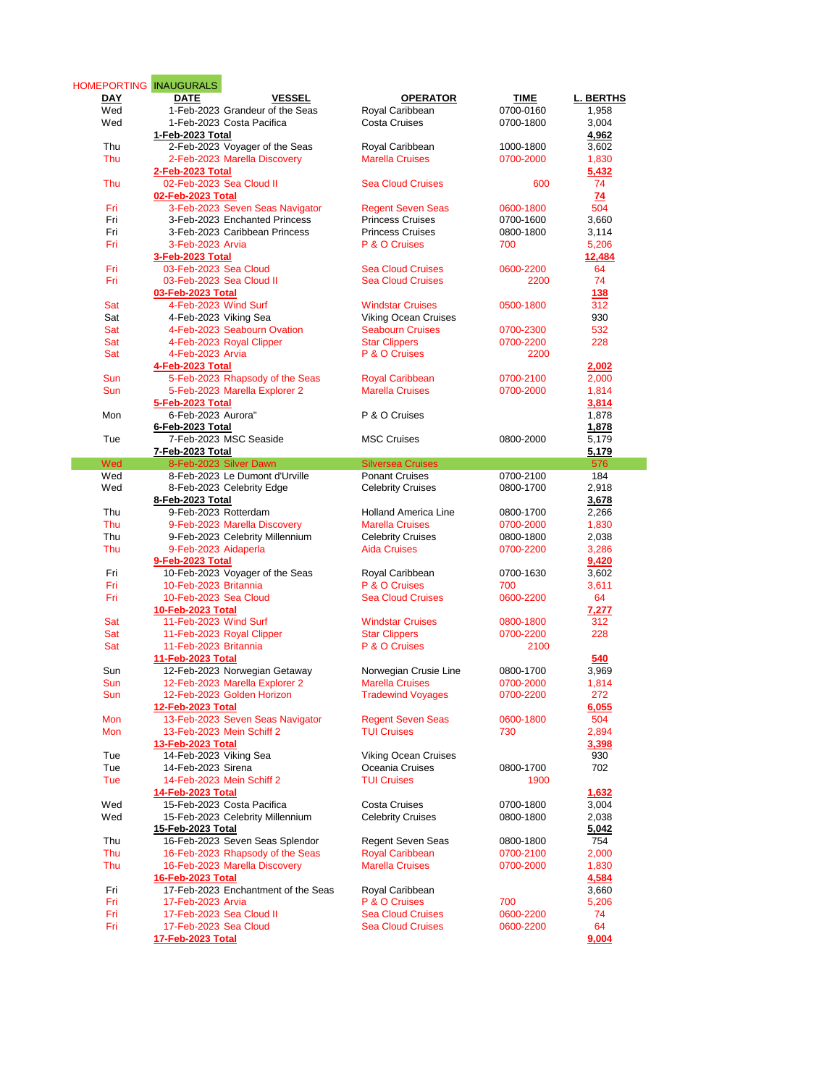|     | HOMEPORTING INAUGURALS              |                             |           |                  |
|-----|-------------------------------------|-----------------------------|-----------|------------------|
| DAY | <b>DATE</b><br><b>VESSEL</b>        | <b>OPERATOR</b>             | TIME      | <b>L. BERTHS</b> |
| Wed | 1-Feb-2023 Grandeur of the Seas     | Royal Caribbean             | 0700-0160 | 1,958            |
| Wed | 1-Feb-2023 Costa Pacifica           | <b>Costa Cruises</b>        | 0700-1800 | 3,004            |
|     |                                     |                             |           |                  |
|     | 1-Feb-2023 Total                    |                             |           | 4,962            |
| Thu | 2-Feb-2023 Voyager of the Seas      | Royal Caribbean             | 1000-1800 | 3,602            |
| Thu | 2-Feb-2023 Marella Discovery        | <b>Marella Cruises</b>      | 0700-2000 | 1,830            |
|     | 2-Feb-2023 Total                    |                             |           | 5,432            |
| Thu | 02-Feb-2023 Sea Cloud II            | <b>Sea Cloud Cruises</b>    |           | 74               |
|     |                                     |                             | 600       |                  |
|     | 02-Feb-2023 Total                   |                             |           | 74               |
| Fri | 3-Feb-2023 Seven Seas Navigator     | <b>Regent Seven Seas</b>    | 0600-1800 | 504              |
| Fri | 3-Feb-2023 Enchanted Princess       | <b>Princess Cruises</b>     | 0700-1600 | 3,660            |
| Fri | 3-Feb-2023 Caribbean Princess       | <b>Princess Cruises</b>     | 0800-1800 | 3,114            |
| Fri | 3-Feb-2023 Arvia                    | P & O Cruises               |           |                  |
|     |                                     |                             | 700       | 5,206            |
|     | 3-Feb-2023 Total                    |                             |           | 12,484           |
| Fri | 03-Feb-2023 Sea Cloud               | <b>Sea Cloud Cruises</b>    | 0600-2200 | 64               |
| Fri | 03-Feb-2023 Sea Cloud II            | <b>Sea Cloud Cruises</b>    | 2200      | 74               |
|     | 03-Feb-2023 Total                   |                             |           | 138              |
| Sat | 4-Feb-2023 Wind Surf                | <b>Windstar Cruises</b>     | 0500-1800 | 312              |
|     |                                     |                             |           |                  |
| Sat | 4-Feb-2023 Viking Sea               | <b>Viking Ocean Cruises</b> |           | 930              |
| Sat | 4-Feb-2023 Seabourn Ovation         | <b>Seabourn Cruises</b>     | 0700-2300 | 532              |
| Sat | 4-Feb-2023 Royal Clipper            | <b>Star Clippers</b>        | 0700-2200 | 228              |
| Sat | 4-Feb-2023 Arvia                    | P & O Cruises               | 2200      |                  |
|     | 4-Feb-2023 Total                    |                             |           | 2,002            |
|     |                                     |                             |           |                  |
| Sun | 5-Feb-2023 Rhapsody of the Seas     | <b>Royal Caribbean</b>      | 0700-2100 | 2,000            |
| Sun | 5-Feb-2023 Marella Explorer 2       | <b>Marella Cruises</b>      | 0700-2000 | 1,814            |
|     | 5-Feb-2023 Total                    |                             |           | 3,814            |
| Mon | 6-Feb-2023 Aurora"                  | P & O Cruises               |           | 1,878            |
|     |                                     |                             |           |                  |
|     | 6-Feb-2023 Total                    |                             |           | 1,878            |
| Tue | 7-Feb-2023 MSC Seaside              | <b>MSC Cruises</b>          | 0800-2000 | 5,179            |
|     | 7-Feb-2023 Total                    |                             |           | 5,179            |
| Wed | 8-Feb-2023 Silver Dawn              | <b>Silversea Cruises</b>    |           | 576              |
| Wed | 8-Feb-2023 Le Dumont d'Urville      | <b>Ponant Cruises</b>       | 0700-2100 | 184              |
| Wed | 8-Feb-2023 Celebrity Edge           | <b>Celebrity Cruises</b>    | 0800-1700 | 2,918            |
|     |                                     |                             |           |                  |
|     | 8-Feb-2023 Total                    |                             |           | 3,678            |
| Thu | 9-Feb-2023 Rotterdam                | <b>Holland America Line</b> | 0800-1700 | 2,266            |
| Thu | 9-Feb-2023 Marella Discovery        | <b>Marella Cruises</b>      | 0700-2000 | 1,830            |
| Thu | 9-Feb-2023 Celebrity Millennium     | <b>Celebrity Cruises</b>    | 0800-1800 | 2,038            |
| Thu | 9-Feb-2023 Aidaperla                | <b>Aida Cruises</b>         | 0700-2200 | 3,286            |
|     |                                     |                             |           |                  |
|     | 9-Feb-2023 Total                    |                             |           | 9,420            |
| Fri | 10-Feb-2023 Voyager of the Seas     | Royal Caribbean             | 0700-1630 | 3,602            |
| Fri | 10-Feb-2023 Britannia               | P & O Cruises               | 700       | 3,611            |
| Fri | 10-Feb-2023 Sea Cloud               | <b>Sea Cloud Cruises</b>    | 0600-2200 | 64               |
|     | 10-Feb-2023 Total                   |                             |           | 7,277            |
|     |                                     |                             |           |                  |
| Sat | 11-Feb-2023 Wind Surf               | <b>Windstar Cruises</b>     | 0800-1800 | 312              |
| Sat | 11-Feb-2023 Royal Clipper           | <b>Star Clippers</b>        | 0700-2200 | 228              |
| Sat | 11-Feb-2023 Britannia               | P & O Cruises               | 2100      |                  |
|     | 11-Feb-2023 Total                   |                             |           | 540              |
| Sun | 12-Feb-2023 Norwegian Getaway       | Norwegian Crusie Line       | 0800-1700 | 3,969            |
|     |                                     |                             |           |                  |
| Sun | 12-Feb-2023 Marella Explorer 2      | <b>Marella Cruises</b>      | 0700-2000 | 1,814            |
| Sun | 12-Feb-2023 Golden Horizon          | <b>Tradewind Voyages</b>    | 0700-2200 | 272              |
|     | 12-Feb-2023 Total                   |                             |           | 6,055            |
| Mon | 13-Feb-2023 Seven Seas Navigator    | <b>Regent Seven Seas</b>    | 0600-1800 | 504              |
| Mon | 13-Feb-2023 Mein Schiff 2           | <b>TUI Cruises</b>          | 730       | 2,894            |
|     |                                     |                             |           |                  |
|     | 13-Feb-2023 Total                   |                             |           | 3,398            |
| Tue | 14-Feb-2023 Viking Sea              | Viking Ocean Cruises        |           | 930              |
| Tue | 14-Feb-2023 Sirena                  | Oceania Cruises             | 0800-1700 | 702              |
| Tue | 14-Feb-2023 Mein Schiff 2           | <b>TUI Cruises</b>          | 1900      |                  |
|     | 14-Feb-2023 Total                   |                             |           | 1,632            |
|     |                                     |                             |           |                  |
| Wed | 15-Feb-2023 Costa Pacifica          | <b>Costa Cruises</b>        | 0700-1800 | 3,004            |
| Wed | 15-Feb-2023 Celebrity Millennium    | <b>Celebrity Cruises</b>    | 0800-1800 | 2,038            |
|     | 15-Feb-2023 Total                   |                             |           | 5,042            |
| Thu | 16-Feb-2023 Seven Seas Splendor     | <b>Regent Seven Seas</b>    | 0800-1800 | 754              |
|     |                                     |                             |           |                  |
| Thu | 16-Feb-2023 Rhapsody of the Seas    | <b>Royal Caribbean</b>      | 0700-2100 | 2,000            |
| Thu | 16-Feb-2023 Marella Discovery       | <b>Marella Cruises</b>      | 0700-2000 | 1,830            |
|     | 16-Feb-2023 Total                   |                             |           | 4,584            |
| Fri | 17-Feb-2023 Enchantment of the Seas | Royal Caribbean             |           | 3,660            |
| Fri | 17-Feb-2023 Arvia                   | P & O Cruises               | 700       |                  |
|     |                                     |                             |           | 5,206            |
| Fri | 17-Feb-2023 Sea Cloud II            | <b>Sea Cloud Cruises</b>    | 0600-2200 | 74               |
| Fri | 17-Feb-2023 Sea Cloud               | <b>Sea Cloud Cruises</b>    | 0600-2200 | 64               |
|     | 17-Feb-2023 Total                   |                             |           | 9,004            |
|     |                                     |                             |           |                  |

<u> Tanzania (</u>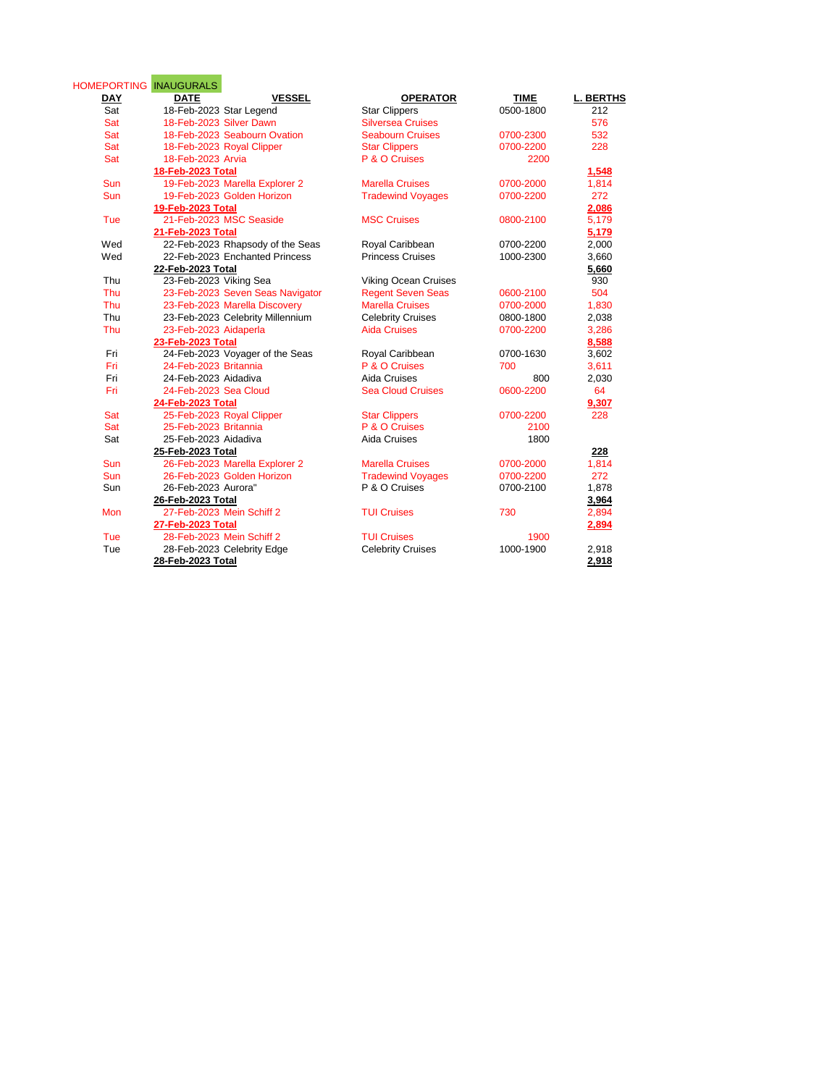| <b>HOMEPORTING</b><br><b>DAY</b> | <b>INAUGURALS</b><br><b>VESSEL</b><br><b>DATE</b> | <b>OPERATOR</b>             | <b>TIME</b> | <b>L. BERTHS</b> |
|----------------------------------|---------------------------------------------------|-----------------------------|-------------|------------------|
| Sat                              | 18-Feb-2023 Star Legend                           | <b>Star Clippers</b>        | 0500-1800   | 212              |
| Sat                              | 18-Feb-2023 Silver Dawn                           | <b>Silversea Cruises</b>    |             | 576              |
| Sat                              | 18-Feb-2023 Seabourn Ovation                      | <b>Seabourn Cruises</b>     | 0700-2300   | 532              |
| Sat                              | 18-Feb-2023 Royal Clipper                         | <b>Star Clippers</b>        | 0700-2200   | 228              |
| Sat                              | 18-Feb-2023 Arvia                                 | P & O Cruises               | 2200        |                  |
|                                  | 18-Feb-2023 Total                                 |                             |             | 1,548            |
| <b>Sun</b>                       | 19-Feb-2023 Marella Explorer 2                    | <b>Marella Cruises</b>      | 0700-2000   | 1,814            |
| Sun                              | 19-Feb-2023 Golden Horizon                        | <b>Tradewind Voyages</b>    | 0700-2200   | 272              |
|                                  | 19-Feb-2023 Total                                 |                             |             | 2,086            |
| Tue                              | 21-Feb-2023 MSC Seaside                           | <b>MSC Cruises</b>          | 0800-2100   | 5,179            |
|                                  | 21-Feb-2023 Total                                 |                             |             | 5,179            |
| Wed                              | 22-Feb-2023 Rhapsody of the Seas                  | Royal Caribbean             | 0700-2200   | 2,000            |
| Wed                              | 22-Feb-2023 Enchanted Princess                    | <b>Princess Cruises</b>     | 1000-2300   | 3,660            |
|                                  | 22-Feb-2023 Total                                 |                             |             | 5,660            |
| Thu                              | 23-Feb-2023 Viking Sea                            | <b>Viking Ocean Cruises</b> |             | 930              |
| Thu                              | 23-Feb-2023 Seven Seas Navigator                  | <b>Regent Seven Seas</b>    | 0600-2100   | 504              |
| Thu                              | 23-Feb-2023 Marella Discovery                     | <b>Marella Cruises</b>      | 0700-2000   | 1,830            |
| Thu                              | 23-Feb-2023 Celebrity Millennium                  | <b>Celebrity Cruises</b>    | 0800-1800   | 2,038            |
| Thu                              | 23-Feb-2023 Aidaperla                             | <b>Aida Cruises</b>         | 0700-2200   | 3,286            |
|                                  | 23-Feb-2023 Total                                 |                             |             | 8,588            |
| Fri                              | 24-Feb-2023 Voyager of the Seas                   | Royal Caribbean             | 0700-1630   | 3,602            |
| Fri                              | 24-Feb-2023 Britannia                             | P & O Cruises               | 700         | 3,611            |
| Fri                              | 24-Feb-2023 Aidadiva                              | Aida Cruises                | 800         | 2,030            |
| Fri                              | 24-Feb-2023 Sea Cloud                             | <b>Sea Cloud Cruises</b>    | 0600-2200   | 64               |
|                                  | 24-Feb-2023 Total                                 |                             |             | 9,307            |
| Sat                              | 25-Feb-2023 Royal Clipper                         | <b>Star Clippers</b>        | 0700-2200   | 228              |
| Sat                              | 25-Feb-2023 Britannia                             | P & O Cruises               | 2100        |                  |
| Sat                              | 25-Feb-2023 Aidadiva                              | Aida Cruises                | 1800        |                  |
|                                  | 25-Feb-2023 Total                                 |                             |             | 228              |
| <b>Sun</b>                       | 26-Feb-2023 Marella Explorer 2                    | <b>Marella Cruises</b>      | 0700-2000   | 1.814            |
| <b>Sun</b>                       | 26-Feb-2023 Golden Horizon                        | <b>Tradewind Voyages</b>    | 0700-2200   | 272              |
| Sun                              | 26-Feb-2023 Aurora"                               | P & O Cruises               | 0700-2100   | 1,878            |
|                                  | 26-Feb-2023 Total                                 |                             |             | 3,964            |
| Mon                              | 27-Feb-2023 Mein Schiff 2                         | <b>TUI Cruises</b>          | 730         | 2,894            |
|                                  | 27-Feb-2023 Total                                 |                             |             | 2,894            |
| Tue                              | 28-Feb-2023 Mein Schiff 2                         | <b>TUI Cruises</b>          | 1900        |                  |
| Tue                              | 28-Feb-2023 Celebrity Edge                        | <b>Celebrity Cruises</b>    | 1000-1900   | 2,918            |
|                                  | 28-Feb-2023 Total                                 |                             |             | 2,918            |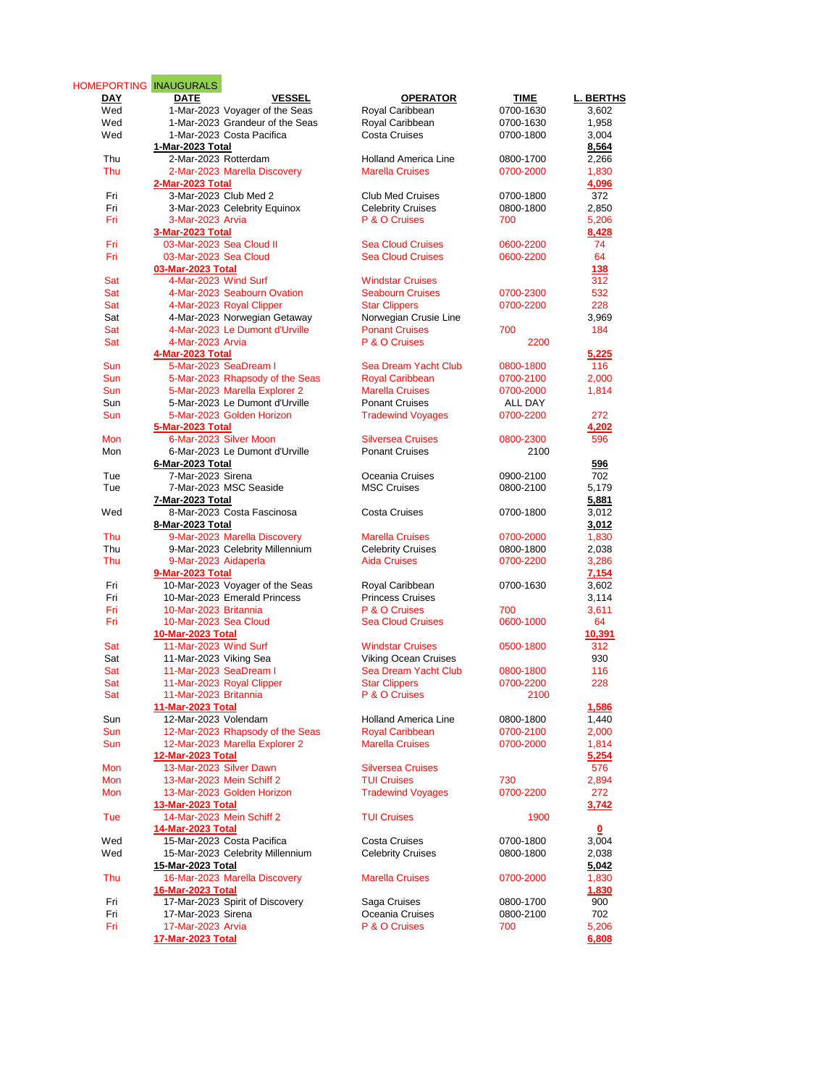| HOMEPORTING INAUGURALS<br>DAY | <b>VESSEL</b><br><b>DATE</b>                                | <b>OPERATOR</b>                                 | <b>TIME</b>          | <b>L. BERTHS</b> |
|-------------------------------|-------------------------------------------------------------|-------------------------------------------------|----------------------|------------------|
| Wed                           | 1-Mar-2023 Voyager of the Seas                              | Royal Caribbean                                 | 0700-1630            | 3,602            |
| Wed                           | 1-Mar-2023 Grandeur of the Seas                             | Royal Caribbean                                 | 0700-1630            | 1,958            |
| Wed                           | 1-Mar-2023 Costa Pacifica                                   | <b>Costa Cruises</b>                            | 0700-1800            | 3,004            |
|                               | 1-Mar-2023 Total                                            |                                                 |                      | 8,564            |
| Thu                           | 2-Mar-2023 Rotterdam                                        | <b>Holland America Line</b>                     | 0800-1700            | 2.266            |
| Thu                           | 2-Mar-2023 Marella Discovery                                | <b>Marella Cruises</b>                          | 0700-2000            | 1,830            |
|                               | 2-Mar-2023 Total                                            |                                                 |                      | 4,096            |
| Fri                           | 3-Mar-2023 Club Med 2                                       | <b>Club Med Cruises</b>                         | 0700-1800            | 372              |
| Fri<br>Fri                    | 3-Mar-2023 Celebrity Equinox<br>3-Mar-2023 Arvia            | <b>Celebrity Cruises</b><br>P & O Cruises       | 0800-1800<br>700     | 2,850            |
|                               | 3-Mar-2023 Total                                            |                                                 |                      | 5,206<br>8,428   |
| Fri                           | 03-Mar-2023 Sea Cloud II                                    | <b>Sea Cloud Cruises</b>                        | 0600-2200            | 74               |
| Fri                           | 03-Mar-2023 Sea Cloud                                       | <b>Sea Cloud Cruises</b>                        | 0600-2200            | 64               |
|                               | 03-Mar-2023 Total                                           |                                                 |                      | 138              |
| Sat                           | 4-Mar-2023 Wind Surf                                        | <b>Windstar Cruises</b>                         |                      | 312              |
| Sat                           | 4-Mar-2023 Seabourn Ovation                                 | <b>Seabourn Cruises</b>                         | 0700-2300            | 532              |
| Sat                           | 4-Mar-2023 Royal Clipper                                    | <b>Star Clippers</b>                            | 0700-2200            | 228              |
| Sat                           | 4-Mar-2023 Norwegian Getaway                                | Norwegian Crusie Line                           |                      | 3,969            |
| Sat                           | 4-Mar-2023 Le Dumont d'Urville                              | <b>Ponant Cruises</b>                           | 700                  | 184              |
| Sat                           | 4-Mar-2023 Arvia                                            | P & O Cruises                                   | 2200                 |                  |
|                               | 4-Mar-2023 Total                                            |                                                 |                      | 5,225            |
| Sun                           | 5-Mar-2023 SeaDream I                                       | Sea Dream Yacht Club                            | 0800-1800            | 116              |
| Sun                           | 5-Mar-2023 Rhapsody of the Seas                             | <b>Royal Caribbean</b>                          | 0700-2100            | 2,000            |
| Sun                           | 5-Mar-2023 Marella Explorer 2                               | <b>Marella Cruises</b><br><b>Ponant Cruises</b> | 0700-2000            | 1,814            |
| Sun<br>Sun                    | 5-Mar-2023 Le Dumont d'Urville<br>5-Mar-2023 Golden Horizon |                                                 | ALL DAY<br>0700-2200 | 272              |
|                               | <b>5-Mar-2023 Total</b>                                     | <b>Tradewind Voyages</b>                        |                      | 4.202            |
| <b>Mon</b>                    | 6-Mar-2023 Silver Moon                                      | <b>Silversea Cruises</b>                        | 0800-2300            | 596              |
| Mon                           | 6-Mar-2023 Le Dumont d'Urville                              | <b>Ponant Cruises</b>                           | 2100                 |                  |
|                               | 6-Mar-2023 Total                                            |                                                 |                      | 596              |
| Tue                           | 7-Mar-2023 Sirena                                           | Oceania Cruises                                 | 0900-2100            | 702              |
| Tue                           | 7-Mar-2023 MSC Seaside                                      | <b>MSC Cruises</b>                              | 0800-2100            | 5,179            |
|                               | 7-Mar-2023 Total                                            |                                                 |                      | 5,881            |
| Wed                           | 8-Mar-2023 Costa Fascinosa                                  | <b>Costa Cruises</b>                            | 0700-1800            | 3,012            |
|                               | 8-Mar-2023 Total                                            |                                                 |                      | 3,012            |
| Thu                           | 9-Mar-2023 Marella Discovery                                | <b>Marella Cruises</b>                          | 0700-2000            | 1,830            |
| Thu                           | 9-Mar-2023 Celebrity Millennium                             | <b>Celebrity Cruises</b>                        | 0800-1800            | 2,038            |
| Thu                           | 9-Mar-2023 Aidaperla                                        | <b>Aida Cruises</b>                             | 0700-2200            | 3,286            |
|                               | 9-Mar-2023 Total                                            |                                                 |                      | 7,154            |
| Fri                           | 10-Mar-2023 Voyager of the Seas                             | Royal Caribbean                                 | 0700-1630            | 3,602            |
| Fri                           | 10-Mar-2023 Emerald Princess                                | <b>Princess Cruises</b>                         |                      | 3,114            |
| Fri                           | 10-Mar-2023 Britannia                                       | P & O Cruises                                   | 700<br>0600-1000     | 3,611            |
| Fri                           | 10-Mar-2023 Sea Cloud<br><b>10-Mar-2023 Total</b>           | <b>Sea Cloud Cruises</b>                        |                      | 64               |
| Sat                           | 11-Mar-2023 Wind Surf                                       | <b>Windstar Cruises</b>                         | 0500-1800            | 10,391<br>312    |
| Sat                           | 11-Mar-2023 Viking Sea                                      | <b>Viking Ocean Cruises</b>                     |                      | 930              |
| Sat                           | 11-Mar-2023 SeaDream I                                      | Sea Dream Yacht Club                            | 0800-1800            | 116              |
| Sat                           | 11-Mar-2023 Royal Clipper                                   | <b>Star Clippers</b>                            | 0700-2200            | 228              |
| Sat                           | 11-Mar-2023 Britannia                                       | P & O Cruises                                   | 2100                 |                  |
|                               | 11-Mar-2023 Total                                           |                                                 |                      | 1,586            |
| Sun                           | 12-Mar-2023 Volendam                                        | <b>Holland America Line</b>                     | 0800-1800            | 1,440            |
| Sun                           | 12-Mar-2023 Rhapsody of the Seas                            | <b>Royal Caribbean</b>                          | 0700-2100            | 2,000            |
| Sun                           | 12-Mar-2023 Marella Explorer 2                              | <b>Marella Cruises</b>                          | 0700-2000            | 1,814            |
|                               | 12-Mar-2023 Total                                           |                                                 |                      | 5,254            |
| Mon                           | 13-Mar-2023 Silver Dawn                                     | <b>Silversea Cruises</b>                        |                      | 576              |
| Mon                           | 13-Mar-2023 Mein Schiff 2                                   | <b>TUI Cruises</b>                              | 730                  | 2,894            |
| Mon                           | 13-Mar-2023 Golden Horizon                                  | <b>Tradewind Voyages</b>                        | 0700-2200            | 272              |
|                               | 13-Mar-2023 Total                                           |                                                 |                      | 3,742            |
| Tue                           | 14-Mar-2023 Mein Schiff 2                                   | <b>TUI Cruises</b>                              | 1900                 |                  |
|                               | 14-Mar-2023 Total                                           |                                                 | 0700-1800            | 0                |
| Wed                           | 15-Mar-2023 Costa Pacifica                                  | <b>Costa Cruises</b>                            |                      | 3,004            |
| Wed                           | 15-Mar-2023 Celebrity Millennium<br>15-Mar-2023 Total       | <b>Celebrity Cruises</b>                        | 0800-1800            | 2,038            |
| Thu                           | 16-Mar-2023 Marella Discovery                               | <b>Marella Cruises</b>                          | 0700-2000            | 5,042<br>1,830   |
|                               | 16-Mar-2023 Total                                           |                                                 |                      | 1,830            |
| Fri                           | 17-Mar-2023 Spirit of Discovery                             | Saga Cruises                                    | 0800-1700            | 900              |
| Fri                           | 17-Mar-2023 Sirena                                          | Oceania Cruises                                 | 0800-2100            | 702              |
| Fri                           | 17-Mar-2023 Arvia                                           | P & O Cruises                                   | 700                  | 5,206            |
|                               | <u>17-Mar-2023 Total</u>                                    |                                                 |                      | 6,808            |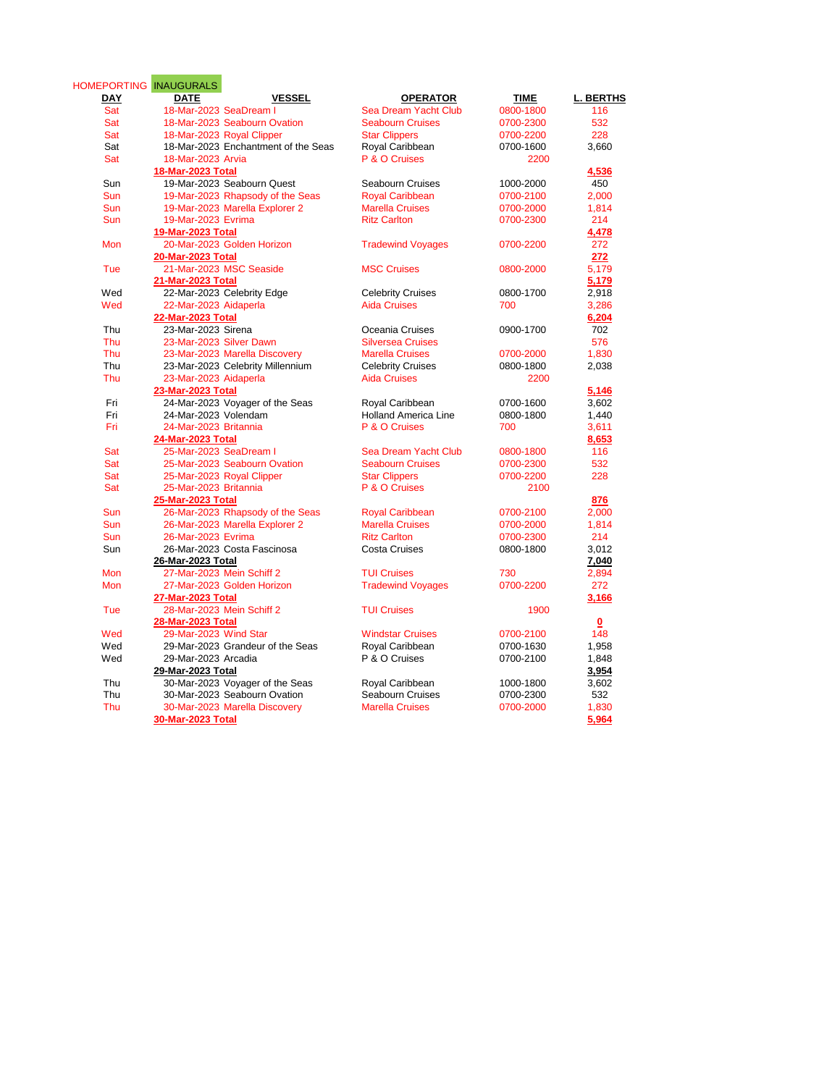| HOMEPORTING INAUGURALS |                                     |                             |             |           |
|------------------------|-------------------------------------|-----------------------------|-------------|-----------|
| <b>DAY</b>             | <b>DATE</b><br><b>VESSEL</b>        | <b>OPERATOR</b>             | <b>TIME</b> | L. BERTHS |
| Sat                    | 18-Mar-2023 SeaDream I              | Sea Dream Yacht Club        | 0800-1800   | 116       |
| Sat                    | 18-Mar-2023 Seabourn Ovation        | <b>Seabourn Cruises</b>     | 0700-2300   | 532       |
| Sat                    | 18-Mar-2023 Royal Clipper           | <b>Star Clippers</b>        | 0700-2200   | 228       |
| Sat                    | 18-Mar-2023 Enchantment of the Seas | Royal Caribbean             | 0700-1600   | 3,660     |
| Sat                    | 18-Mar-2023 Arvia                   | P & O Cruises               | 2200        |           |
|                        | 18-Mar-2023 Total                   |                             |             | 4,536     |
| Sun                    | 19-Mar-2023 Seabourn Quest          | Seabourn Cruises            | 1000-2000   | 450       |
| Sun                    | 19-Mar-2023 Rhapsody of the Seas    | <b>Royal Caribbean</b>      | 0700-2100   | 2,000     |
| Sun                    | 19-Mar-2023 Marella Explorer 2      | <b>Marella Cruises</b>      | 0700-2000   | 1,814     |
| Sun                    | 19-Mar-2023 Evrima                  | <b>Ritz Carlton</b>         | 0700-2300   | 214       |
|                        | 19-Mar-2023 Total                   |                             |             | 4,478     |
| Mon                    | 20-Mar-2023 Golden Horizon          | <b>Tradewind Voyages</b>    | 0700-2200   | 272       |
|                        | 20-Mar-2023 Total                   |                             |             | 272       |
| Tue                    | 21-Mar-2023 MSC Seaside             | <b>MSC Cruises</b>          | 0800-2000   | 5,179     |
|                        | 21-Mar-2023 Total                   |                             |             | 5,179     |
| Wed                    | 22-Mar-2023 Celebrity Edge          | <b>Celebrity Cruises</b>    | 0800-1700   | 2,918     |
| Wed                    | 22-Mar-2023 Aidaperla               | <b>Aida Cruises</b>         | 700         | 3,286     |
|                        | 22-Mar-2023 Total                   |                             |             | 6,204     |
| Thu                    | 23-Mar-2023 Sirena                  | Oceania Cruises             | 0900-1700   | 702       |
| Thu                    | 23-Mar-2023 Silver Dawn             | <b>Silversea Cruises</b>    |             | 576       |
| Thu                    | 23-Mar-2023 Marella Discovery       | <b>Marella Cruises</b>      | 0700-2000   | 1,830     |
| Thu                    | 23-Mar-2023 Celebrity Millennium    | <b>Celebrity Cruises</b>    | 0800-1800   | 2,038     |
| Thu                    | 23-Mar-2023 Aidaperla               | <b>Aida Cruises</b>         | 2200        |           |
|                        | 23-Mar-2023 Total                   |                             |             | 5,146     |
| Fri                    | 24-Mar-2023 Voyager of the Seas     | Royal Caribbean             | 0700-1600   | 3,602     |
| Fri                    | 24-Mar-2023 Volendam                | <b>Holland America Line</b> | 0800-1800   | 1,440     |
| Fri                    | 24-Mar-2023 Britannia               | P & O Cruises               | 700         | 3,611     |
|                        | 24-Mar-2023 Total                   |                             |             | 8,653     |
| Sat                    | 25-Mar-2023 SeaDream I              | Sea Dream Yacht Club        | 0800-1800   | 116       |
| Sat                    | 25-Mar-2023 Seabourn Ovation        | <b>Seabourn Cruises</b>     | 0700-2300   | 532       |
| Sat                    | 25-Mar-2023 Royal Clipper           | <b>Star Clippers</b>        | 0700-2200   | 228       |
| Sat                    | 25-Mar-2023 Britannia               | P & O Cruises               | 2100        |           |
|                        | 25-Mar-2023 Total                   |                             |             | 876       |
| Sun                    | 26-Mar-2023 Rhapsody of the Seas    | <b>Royal Caribbean</b>      | 0700-2100   | 2,000     |
| Sun                    | 26-Mar-2023 Marella Explorer 2      | <b>Marella Cruises</b>      | 0700-2000   | 1,814     |
| Sun                    | 26-Mar-2023 Evrima                  | <b>Ritz Carlton</b>         | 0700-2300   | 214       |
| Sun                    | 26-Mar-2023 Costa Fascinosa         | <b>Costa Cruises</b>        | 0800-1800   | 3,012     |
|                        | 26-Mar-2023 Total                   |                             |             | 7,040     |
| Mon                    | 27-Mar-2023 Mein Schiff 2           | <b>TUI Cruises</b>          | 730         | 2,894     |
| Mon                    | 27-Mar-2023 Golden Horizon          | <b>Tradewind Voyages</b>    | 0700-2200   | 272       |
|                        | 27-Mar-2023 Total                   |                             |             | 3,166     |
| Tue                    | 28-Mar-2023 Mein Schiff 2           | <b>TUI Cruises</b>          | 1900        |           |
|                        | 28-Mar-2023 Total                   |                             |             | $\Omega$  |
| Wed                    | 29-Mar-2023 Wind Star               | <b>Windstar Cruises</b>     | 0700-2100   | 148       |
| Wed                    | 29-Mar-2023 Grandeur of the Seas    | Royal Caribbean             | 0700-1630   | 1,958     |
| Wed                    | 29-Mar-2023 Arcadia                 | P & O Cruises               | 0700-2100   | 1,848     |
|                        | 29-Mar-2023 Total                   |                             |             | 3,954     |
| Thu                    | 30-Mar-2023 Voyager of the Seas     | Royal Caribbean             | 1000-1800   | 3,602     |
| Thu                    | 30-Mar-2023 Seabourn Ovation        | Seabourn Cruises            | 0700-2300   | 532       |
| Thu                    | 30-Mar-2023 Marella Discovery       | <b>Marella Cruises</b>      | 0700-2000   | 1,830     |
|                        | 30-Mar-2023 Total                   |                             |             | 5,964     |